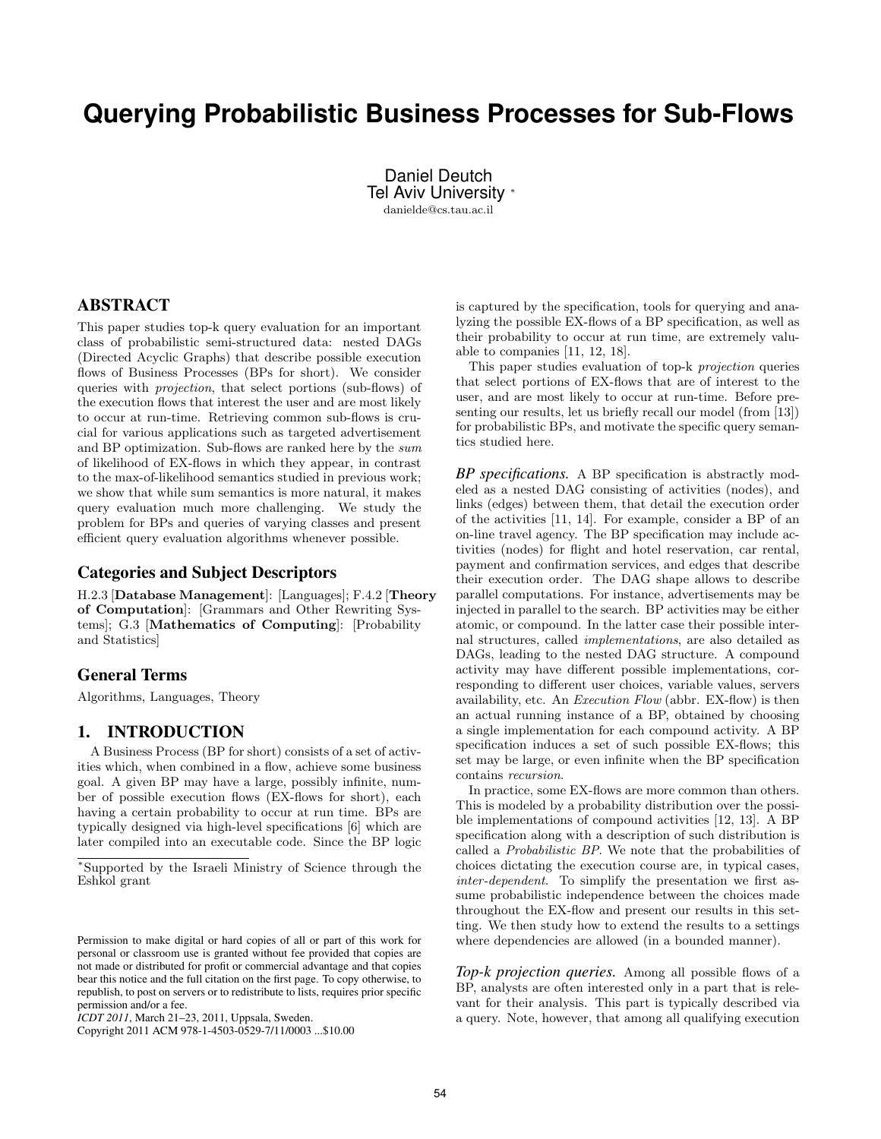# **Querying Probabilistic Business Processes for Sub-Flows**

Daniel Deutch Tel Aviv University *<sup>∗</sup>* danielde@cs.tau.ac.il

# ABSTRACT

This paper studies top-k query evaluation for an important class of probabilistic semi-structured data: nested DAGs (Directed Acyclic Graphs) that describe possible execution flows of Business Processes (BPs for short). We consider queries with *projection*, that select portions (sub-flows) of the execution flows that interest the user and are most likely to occur at run-time. Retrieving common sub-flows is crucial for various applications such as targeted advertisement and BP optimization. Sub-flows are ranked here by the *sum* of likelihood of EX-flows in which they appear, in contrast to the max-of-likelihood semantics studied in previous work; we show that while sum semantics is more natural, it makes query evaluation much more challenging. We study the problem for BPs and queries of varying classes and present efficient query evaluation algorithms whenever possible.

## Categories and Subject Descriptors

H.2.3 [**Database Management**]: [Languages]; F.4.2 [**Theory of Computation**]: [Grammars and Other Rewriting Systems]; G.3 [**Mathematics of Computing**]: [Probability and Statistics]

# General Terms

Algorithms, Languages, Theory

# 1. INTRODUCTION

A Business Process (BP for short) consists of a set of activities which, when combined in a flow, achieve some business goal. A given BP may have a large, possibly infinite, number of possible execution flows (EX-flows for short), each having a certain probability to occur at run time. BPs are typically designed via high-level specifications [6] which are later compiled into an executable code. Since the BP logic is captured by the specification, tools for querying and analyzing the possible EX-flows of a BP specification, as well as their probability to occur at run time, are extremely valuable to companies [11, 12, 18].

This paper studies evaluation of top-k *projection* queries that select portions of EX-flows that are of interest to the user, and are most likely to occur at run-time. Before presenting our results, let us briefly recall our model (from [13]) for probabilistic BPs, and motivate the specific query semantics studied here.

*BP specifications.* A BP specification is abstractly modeled as a nested DAG consisting of activities (nodes), and links (edges) between them, that detail the execution order of the activities [11, 14]. For example, consider a BP of an on-line travel agency. The BP specification may include activities (nodes) for flight and hotel reservation, car rental, payment and confirmation services, and edges that describe their execution order. The DAG shape allows to describe parallel computations. For instance, advertisements may be injected in parallel to the search. BP activities may be either atomic, or compound. In the latter case their possible internal structures, called *implementations*, are also detailed as DAGs, leading to the nested DAG structure. A compound activity may have different possible implementations, corresponding to different user choices, variable values, servers availability, etc. An *Execution Flow* (abbr. EX-flow) is then an actual running instance of a BP, obtained by choosing a single implementation for each compound activity. A BP specification induces a set of such possible EX-flows; this set may be large, or even infinite when the BP specification contains *recursion*.

In practice, some EX-flows are more common than others. This is modeled by a probability distribution over the possible implementations of compound activities [12, 13]. A BP specification along with a description of such distribution is called a *Probabilistic BP*. We note that the probabilities of choices dictating the execution course are, in typical cases, *inter-dependent*. To simplify the presentation we first assume probabilistic independence between the choices made throughout the EX-flow and present our results in this setting. We then study how to extend the results to a settings where dependencies are allowed (in a bounded manner).

Top-k projection queries. Among all possible flows of a BP, analysts are often interested only in a part that is relevant for their analysis. This part is typically described via a query. Note, however, that among all qualifying execution

*<sup>∗</sup>*Supported by the Israeli Ministry of Science through the Eshkol grant

Permission to make digital or hard copies of all or part of this work for personal or classroom use is granted without fee provided that copies are not made or distributed for profit or commercial advantage and that copies bear this notice and the full citation on the first page. To copy otherwise, to republish, to post on servers or to redistribute to lists, requires prior specific permission and/or a fee.

*ICDT 2011*, March 21–23, 2011, Uppsala, Sweden.

Copyright 2011 ACM 978-1-4503-0529-7/11/0003 ...\$10.00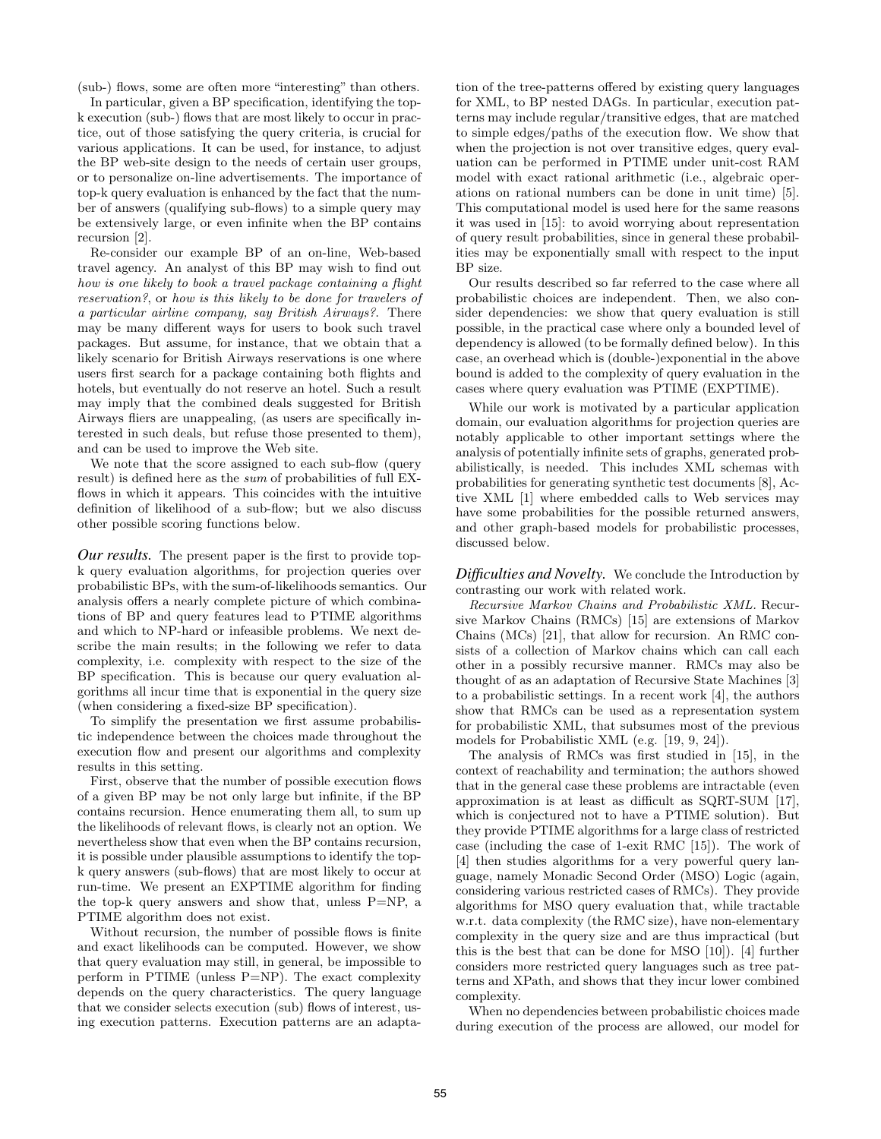(sub-) flows, some are often more "interesting" than others.

In particular, given a BP specification, identifying the topk execution (sub-) flows that are most likely to occur in practice, out of those satisfying the query criteria, is crucial for various applications. It can be used, for instance, to adjust the BP web-site design to the needs of certain user groups, or to personalize on-line advertisements. The importance of top-k query evaluation is enhanced by the fact that the number of answers (qualifying sub-flows) to a simple query may be extensively large, or even infinite when the BP contains recursion [2].

Re-consider our example BP of an on-line, Web-based travel agency. An analyst of this BP may wish to find out *how is one likely to book a travel package containing a flight reservation?*, or *how is this likely to be done for travelers of a particular airline company, say British Airways?*. There may be many different ways for users to book such travel packages. But assume, for instance, that we obtain that a likely scenario for British Airways reservations is one where users first search for a package containing both flights and hotels, but eventually do not reserve an hotel. Such a result may imply that the combined deals suggested for British Airways fliers are unappealing, (as users are specifically interested in such deals, but refuse those presented to them), and can be used to improve the Web site.

We note that the score assigned to each sub-flow (query result) is defined here as the *sum* of probabilities of full EXflows in which it appears. This coincides with the intuitive definition of likelihood of a sub-flow; but we also discuss other possible scoring functions below.

*Our results.* The present paper is the first to provide topk query evaluation algorithms, for projection queries over probabilistic BPs, with the sum-of-likelihoods semantics. Our analysis offers a nearly complete picture of which combinations of BP and query features lead to PTIME algorithms and which to NP-hard or infeasible problems. We next describe the main results; in the following we refer to data complexity, i.e. complexity with respect to the size of the BP specification. This is because our query evaluation algorithms all incur time that is exponential in the query size (when considering a fixed-size BP specification).

To simplify the presentation we first assume probabilistic independence between the choices made throughout the execution flow and present our algorithms and complexity results in this setting.

First, observe that the number of possible execution flows of a given BP may be not only large but infinite, if the BP contains recursion. Hence enumerating them all, to sum up the likelihoods of relevant flows, is clearly not an option. We nevertheless show that even when the BP contains recursion, it is possible under plausible assumptions to identify the topk query answers (sub-flows) that are most likely to occur at run-time. We present an EXPTIME algorithm for finding the top-k query answers and show that, unless P=NP, a PTIME algorithm does not exist.

Without recursion, the number of possible flows is finite and exact likelihoods can be computed. However, we show that query evaluation may still, in general, be impossible to perform in PTIME (unless P=NP). The exact complexity depends on the query characteristics. The query language that we consider selects execution (sub) flows of interest, using execution patterns. Execution patterns are an adaptation of the tree-patterns offered by existing query languages for XML, to BP nested DAGs. In particular, execution patterns may include regular/transitive edges, that are matched to simple edges/paths of the execution flow. We show that when the projection is not over transitive edges, query evaluation can be performed in PTIME under unit-cost RAM model with exact rational arithmetic (i.e., algebraic operations on rational numbers can be done in unit time) [5]. This computational model is used here for the same reasons it was used in [15]: to avoid worrying about representation of query result probabilities, since in general these probabilities may be exponentially small with respect to the input BP size.

Our results described so far referred to the case where all probabilistic choices are independent. Then, we also consider dependencies: we show that query evaluation is still possible, in the practical case where only a bounded level of dependency is allowed (to be formally defined below). In this case, an overhead which is (double-)exponential in the above bound is added to the complexity of query evaluation in the cases where query evaluation was PTIME (EXPTIME).

While our work is motivated by a particular application domain, our evaluation algorithms for projection queries are notably applicable to other important settings where the analysis of potentially infinite sets of graphs, generated probabilistically, is needed. This includes XML schemas with probabilities for generating synthetic test documents [8], Active XML [1] where embedded calls to Web services may have some probabilities for the possible returned answers, and other graph-based models for probabilistic processes, discussed below.

*Difficulties and Novelty.* We conclude the Introduction by contrasting our work with related work.

*Recursive Markov Chains and Probabilistic XML.* Recursive Markov Chains (RMCs) [15] are extensions of Markov Chains (MCs) [21], that allow for recursion. An RMC consists of a collection of Markov chains which can call each other in a possibly recursive manner. RMCs may also be thought of as an adaptation of Recursive State Machines [3] to a probabilistic settings. In a recent work [4], the authors show that RMCs can be used as a representation system for probabilistic XML, that subsumes most of the previous models for Probabilistic XML (e.g. [19, 9, 24]).

The analysis of RMCs was first studied in [15], in the context of reachability and termination; the authors showed that in the general case these problems are intractable (even approximation is at least as difficult as SQRT-SUM [17], which is conjectured not to have a PTIME solution). But they provide PTIME algorithms for a large class of restricted case (including the case of 1-exit RMC [15]). The work of [4] then studies algorithms for a very powerful query language, namely Monadic Second Order (MSO) Logic (again, considering various restricted cases of RMCs). They provide algorithms for MSO query evaluation that, while tractable w.r.t. data complexity (the RMC size), have non-elementary complexity in the query size and are thus impractical (but this is the best that can be done for MSO [10]). [4] further considers more restricted query languages such as tree patterns and XPath, and shows that they incur lower combined complexity.

When no dependencies between probabilistic choices made during execution of the process are allowed, our model for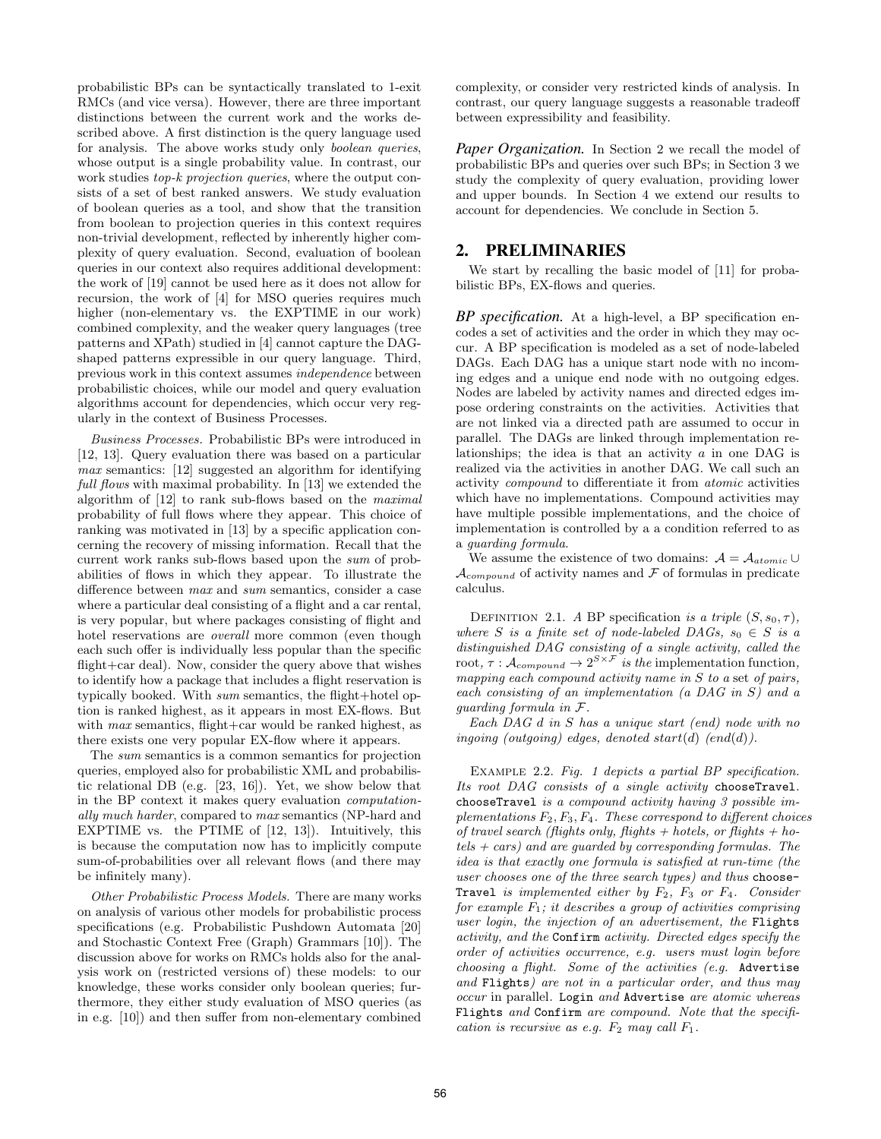probabilistic BPs can be syntactically translated to 1-exit RMCs (and vice versa). However, there are three important distinctions between the current work and the works described above. A first distinction is the query language used for analysis. The above works study only *boolean queries*, whose output is a single probability value. In contrast, our work studies *top-k projection queries*, where the output consists of a set of best ranked answers. We study evaluation of boolean queries as a tool, and show that the transition from boolean to projection queries in this context requires non-trivial development, reflected by inherently higher complexity of query evaluation. Second, evaluation of boolean queries in our context also requires additional development: the work of [19] cannot be used here as it does not allow for recursion, the work of [4] for MSO queries requires much higher (non-elementary vs. the EXPTIME in our work) combined complexity, and the weaker query languages (tree patterns and XPath) studied in [4] cannot capture the DAGshaped patterns expressible in our query language. Third, previous work in this context assumes *independence* between probabilistic choices, while our model and query evaluation algorithms account for dependencies, which occur very regularly in the context of Business Processes.

*Business Processes.* Probabilistic BPs were introduced in [12, 13]. Query evaluation there was based on a particular *max* semantics: [12] suggested an algorithm for identifying *full flows* with maximal probability. In [13] we extended the algorithm of [12] to rank sub-flows based on the *maximal* probability of full flows where they appear. This choice of ranking was motivated in [13] by a specific application concerning the recovery of missing information. Recall that the current work ranks sub-flows based upon the *sum* of probabilities of flows in which they appear. To illustrate the difference between *max* and *sum* semantics, consider a case where a particular deal consisting of a flight and a car rental, is very popular, but where packages consisting of flight and hotel reservations are *overall* more common (even though each such offer is individually less popular than the specific flight+car deal). Now, consider the query above that wishes to identify how a package that includes a flight reservation is typically booked. With *sum* semantics, the flight+hotel option is ranked highest, as it appears in most EX-flows. But with *max* semantics, flight+car would be ranked highest, as there exists one very popular EX-flow where it appears.

The *sum* semantics is a common semantics for projection queries, employed also for probabilistic XML and probabilistic relational DB (e.g. [23, 16]). Yet, we show below that in the BP context it makes query evaluation *computationally much harder*, compared to *max* semantics (NP-hard and EXPTIME vs. the PTIME of [12, 13]). Intuitively, this is because the computation now has to implicitly compute sum-of-probabilities over all relevant flows (and there may be infinitely many).

*Other Probabilistic Process Models.* There are many works on analysis of various other models for probabilistic process specifications (e.g. Probabilistic Pushdown Automata [20] and Stochastic Context Free (Graph) Grammars [10]). The discussion above for works on RMCs holds also for the analysis work on (restricted versions of) these models: to our knowledge, these works consider only boolean queries; furthermore, they either study evaluation of MSO queries (as in e.g. [10]) and then suffer from non-elementary combined

complexity, or consider very restricted kinds of analysis. In contrast, our query language suggests a reasonable tradeoff between expressibility and feasibility.

*Paper Organization.* In Section 2 we recall the model of probabilistic BPs and queries over such BPs; in Section 3 we study the complexity of query evaluation, providing lower and upper bounds. In Section 4 we extend our results to account for dependencies. We conclude in Section 5.

### 2. PRELIMINARIES

We start by recalling the basic model of [11] for probabilistic BPs, EX-flows and queries.

*BP specification.* At a high-level, a BP specification encodes a set of activities and the order in which they may occur. A BP specification is modeled as a set of node-labeled DAGs. Each DAG has a unique start node with no incoming edges and a unique end node with no outgoing edges. Nodes are labeled by activity names and directed edges impose ordering constraints on the activities. Activities that are not linked via a directed path are assumed to occur in parallel. The DAGs are linked through implementation relationships; the idea is that an activity *a* in one DAG is realized via the activities in another DAG. We call such an activity *compound* to differentiate it from *atomic* activities which have no implementations. Compound activities may have multiple possible implementations, and the choice of implementation is controlled by a a condition referred to as a *guarding formula*.

We assume the existence of two domains:  $A = A_{atomic} \cup$  $\mathcal{A}_{compound}$  of activity names and  $\mathcal F$  of formulas in predicate calculus.

DEFINITION 2.1. *A* BP specification *is a triple*  $(S, s_0, \tau)$ *, where S is a finite set of node-labeled DAGs,*  $s_0 \in S$  *is a distinguished DAG consisting of a single activity, called the* root,  $\tau : \mathcal{A}_{compound} \rightarrow 2^{S \times \mathcal{F}}$  *is the implementation function, mapping each compound activity name in S to a* set *of pairs, each consisting of an implementation (a DAG in S) and a guarding formula in F.*

*Each DAG d in S has a unique start (end) node with no ingoing (outgoing) edges, denoted start*(*d*) *(end*(*d*)*).*

Example 2.2. *Fig. 1 depicts a partial BP specification. Its root DAG consists of a single activity* chooseTravel*.* chooseTravel *is a compound activity having 3 possible implementations F*2*, F*3*, F*4*. These correspond to different choices of travel search (flights only, flights + hotels, or flights + hotels + cars) and are guarded by corresponding formulas. The idea is that exactly one formula is satisfied at run-time (the user chooses one of the three search types) and thus* choose-Travel *is implemented either by F*2*, F*<sup>3</sup> *or F*4*. Consider for example F*1*; it describes a group of activities comprising user login, the injection of an advertisement, the* Flights *activity, and the* Confirm *activity. Directed edges specify the order of activities occurrence, e.g. users must login before choosing a flight. Some of the activities (e.g.* Advertise *and* Flights*) are not in a particular order, and thus may occur* in parallel*.* Login *and* Advertise *are atomic whereas* Flights *and* Confirm *are compound. Note that the specification is recursive as e.g.*  $F_2$  *may call*  $F_1$ *.*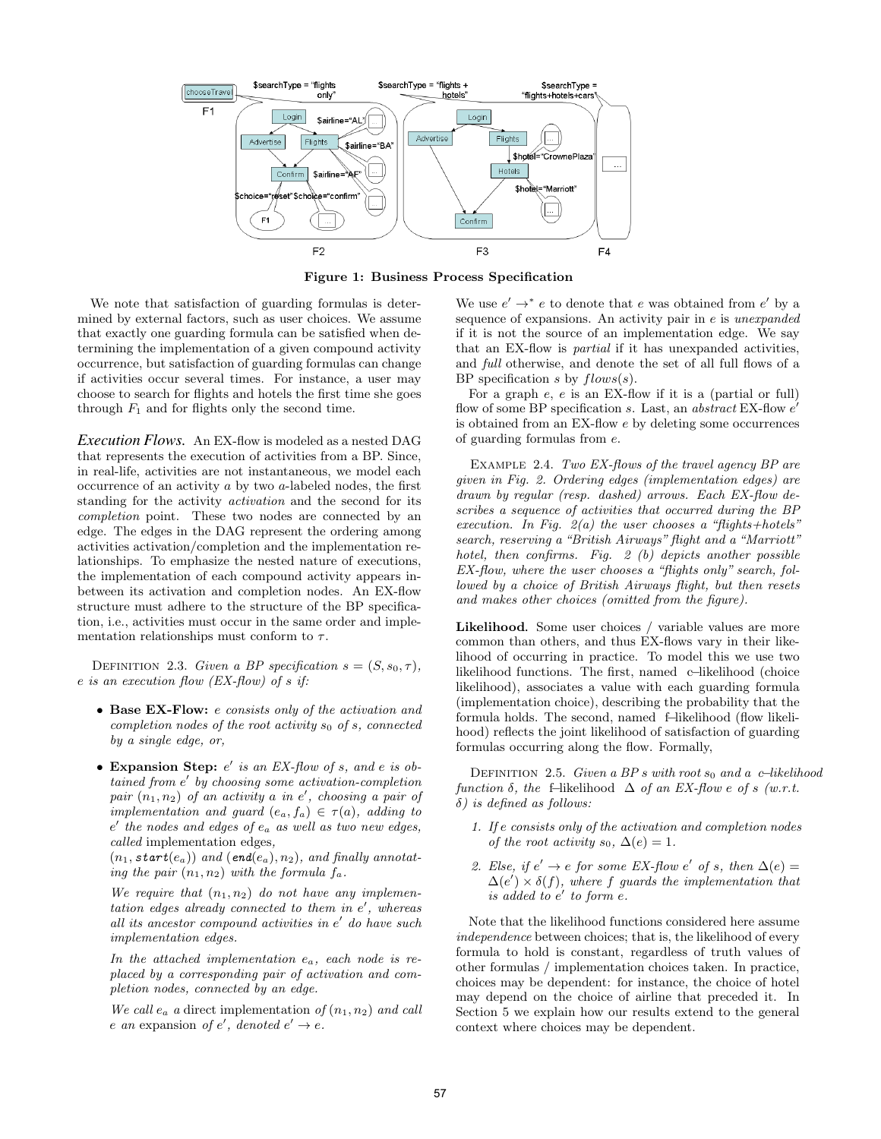

**Figure 1: Business Process Specification**

We note that satisfaction of guarding formulas is determined by external factors, such as user choices. We assume that exactly one guarding formula can be satisfied when determining the implementation of a given compound activity occurrence, but satisfaction of guarding formulas can change if activities occur several times. For instance, a user may choose to search for flights and hotels the first time she goes through  $F_1$  and for flights only the second time.

*Execution Flows.* An EX-flow is modeled as a nested DAG that represents the execution of activities from a BP. Since, in real-life, activities are not instantaneous, we model each occurrence of an activity *a* by two *a*-labeled nodes, the first standing for the activity *activation* and the second for its *completion* point. These two nodes are connected by an edge. The edges in the DAG represent the ordering among activities activation/completion and the implementation relationships. To emphasize the nested nature of executions, the implementation of each compound activity appears inbetween its activation and completion nodes. An EX-flow structure must adhere to the structure of the BP specification, i.e., activities must occur in the same order and implementation relationships must conform to *τ* .

DEFINITION 2.3. *Given a BP specification*  $s = (S, s_0, \tau)$ *, e is an execution flow (EX-flow) of s if:*

- *•* **Base EX-Flow:** *e consists only of the activation and completion nodes of the root activity*  $s_0$  *of s, connected by a single edge, or,*
- *•* **Expansion Step:** *e ′ is an EX-flow of s, and e is obtained from e ′ by choosing some activation-completion pair* (*n*1*, n*2) *of an activity a in e ′ , choosing a pair of implementation and guard*  $(e_a, f_a) \in \tau(a)$ *, adding to e ′ the nodes and edges of e<sup>a</sup> as well as two new edges, called* implementation edges*,*

 $(n_1, start(e_a))$  and  $(end(e_a), n_2)$ *, and finally annotating the pair*  $(n_1, n_2)$  *with the formula*  $f_a$ *.* 

*We require that* (*n*1*, n*2) *do not have any implementation edges already connected to them in e ′ , whereas all its ancestor compound activities in e ′ do have such implementation edges.*

*In the attached implementation ea, each node is replaced by a corresponding pair of activation and completion nodes, connected by an edge.*

*We call*  $e_a$  *a* direct implementation *of*  $(n_1, n_2)$  *and call e an* expansion *of e*<sup>'</sup>, *denoted*  $e' \rightarrow e$ *.* 

We use  $e' \rightarrow^* e$  to denote that *e* was obtained from  $e'$  by a sequence of expansions. An activity pair in *e* is *unexpanded* if it is not the source of an implementation edge. We say that an EX-flow is *partial* if it has unexpanded activities, and *full* otherwise, and denote the set of all full flows of a BP specification *s* by *f lows*(*s*).

For a graph *e*, *e* is an EX-flow if it is a (partial or full) flow of some BP specification *s*. Last, an *abstract* EX-flow *e ′* is obtained from an EX-flow *e* by deleting some occurrences of guarding formulas from *e*.

Example 2.4. *Two EX-flows of the travel agency BP are given in Fig. 2. Ordering edges (implementation edges) are drawn by regular (resp. dashed) arrows. Each EX-flow describes a sequence of activities that occurred during the BP execution. In Fig. 2(a) the user chooses a "flights+hotels" search, reserving a "British Airways" flight and a "Marriott" hotel, then confirms. Fig. 2 (b) depicts another possible EX-flow, where the user chooses a "flights only" search, followed by a choice of British Airways flight, but then resets and makes other choices (omitted from the figure).*

**Likelihood***.* Some user choices / variable values are more common than others, and thus EX-flows vary in their likelihood of occurring in practice. To model this we use two likelihood functions. The first, named c*−*likelihood (choice likelihood), associates a value with each guarding formula (implementation choice), describing the probability that the formula holds. The second, named f*−*likelihood (flow likelihood) reflects the joint likelihood of satisfaction of guarding formulas occurring along the flow. Formally,

Definition 2.5. *Given a BP s with root s*<sup>0</sup> *and a c−likelihood function*  $\delta$ *, the* f−likelihood  $\Delta$  *of an EX-flowe of s (w.r.t. δ) is defined as follows:*

- *1. If e consists only of the activation and completion nodes of the root activity*  $s_0$ ,  $\Delta(e) = 1$ .
- 2. Else, if  $e' \rightarrow e$  for some EX-flow  $e'$  of  $s$ , then  $\Delta(e) =$  $\Delta(e') \times \delta(f)$ , where f guards the implementation that *is added to e ′ to form e.*

Note that the likelihood functions considered here assume *independence* between choices; that is, the likelihood of every formula to hold is constant, regardless of truth values of other formulas / implementation choices taken. In practice, choices may be dependent: for instance, the choice of hotel may depend on the choice of airline that preceded it. In Section 5 we explain how our results extend to the general context where choices may be dependent.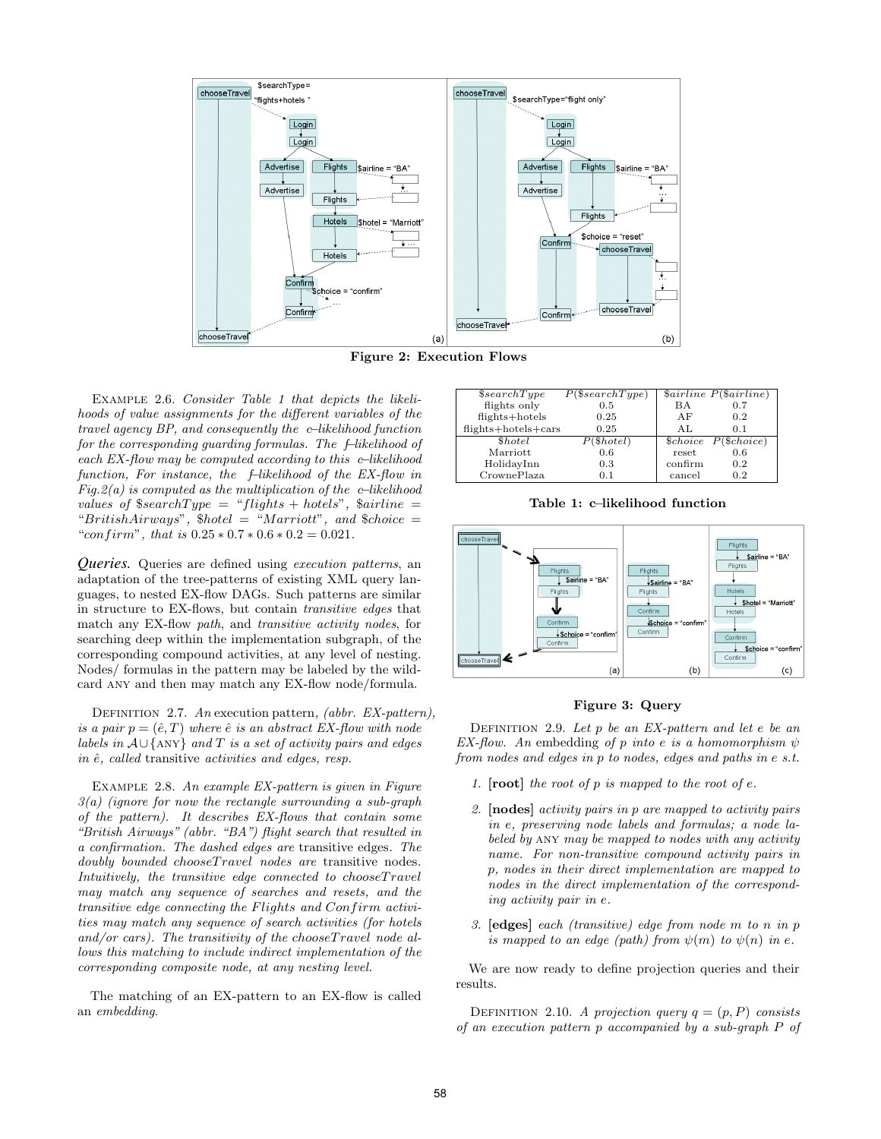

**Figure 2: Execution Flows**

Example 2.6. *Consider Table 1 that depicts the likelihoods of value assignments for the different variables of the travel agency BP, and consequently the c−likelihood function for the corresponding guarding formulas. The f−likelihood of each EX-flow may be computed according to this c−likelihood function, For instance, the f−likelihood of the EX-flow in Fig.2(a) is computed as the multiplication of the c−likelihood values of*  $$searchType = "flights + hotels",$   $$airline =$ "*BritishAirways*"*,* \$*hotel* = "*Marriott*"*, and* \$*choice* = " $\text{con} \text{firm}$ ", that is  $0.25 * 0.7 * 0.6 * 0.2 = 0.021$ .

*Queries.* Queries are defined using *execution patterns*, an adaptation of the tree-patterns of existing XML query languages, to nested EX-flow DAGs. Such patterns are similar in structure to EX-flows, but contain *transitive edges* that match any EX-flow *path*, and *transitive activity nodes*, for searching deep within the implementation subgraph, of the corresponding compound activities, at any level of nesting. Nodes/ formulas in the pattern may be labeled by the wildcard ANY and then may match any EX-flow node/formula.

Definition 2.7. *An* execution pattern*, (abbr. EX-pattern), is a pair*  $p = (\hat{e}, T)$  *where*  $\hat{e}$  *is an abstract EX-flow with node labels in A∪ {*any*} and T is a set of activity pairs and edges in e*ˆ*, called* transitive *activities and edges, resp.*

Example 2.8. *An example EX-pattern is given in Figure 3(a) (ignore for now the rectangle surrounding a sub-graph of the pattern). It describes EX-flows that contain some "British Airways" (abbr. "BA") flight search that resulted in a confirmation. The dashed edges are* transitive edges*. The doubly bounded chooseT ravel nodes are* transitive nodes*. Intuitively, the transitive edge connected to chooseT ravel may match any sequence of searches and resets, and the transitive edge connecting the Flights and Confirm activities may match any sequence of search activities (for hotels and/or cars). The transitivity of the chooseT ravel node allows this matching to include indirect implementation of the corresponding composite node, at any nesting level.*

The matching of an EX-pattern to an EX-flow is called an *embedding*.

| \$searchType              | $P$ (\$searchType)       |           | $\text{Sairline } P(\text{Sairline})$ |
|---------------------------|--------------------------|-----------|---------------------------------------|
| flights only              | 0.5                      | <b>BA</b> | 0.7                                   |
| $flights + hotes$         | 0.25                     | AF        | 0.2                                   |
| $flights + hotels + cars$ | 0.25                     | AL.       | 0.1                                   |
| <i><b>Shotel</b></i>      | $\overline{P(\$ hotel)}$ |           | $\text{\$choice }\,P(\$choice)$       |
| Marriott                  | 0.6                      | reset     | 0.6                                   |
| HolidayInn                | 0.3                      | confirm   | 0.2                                   |
| CrownePlaza               | O 1                      | cancel    | 0.2                                   |

**Table 1: c***−***likelihood function**



#### **Figure 3: Query**

Definition 2.9. *Let p be an EX-pattern and let e be an EX-flow.* An embedding *of*  $p$  *into*  $e$  *is a homomorphism*  $\psi$ *from nodes and edges in p to nodes, edges and paths in e s.t.*

- *1.* **[root]** *the root of p is mapped to the root of e.*
- *2.* **[nodes]** *activity pairs in p are mapped to activity pairs in e, preserving node labels and formulas; a node labeled by* any *may be mapped to nodes with any activity name. For non-transitive compound activity pairs in p, nodes in their direct implementation are mapped to nodes in the direct implementation of the corresponding activity pair in e.*
- *3.* **[edges]** *each (transitive) edge from node m to n in p is mapped to an edge (path) from*  $\psi(m)$  *to*  $\psi(n)$  *in e.*

We are now ready to define projection queries and their results.

DEFINITION 2.10. *A projection query*  $q = (p, P)$  *consists of an execution pattern p accompanied by a sub-graph P of*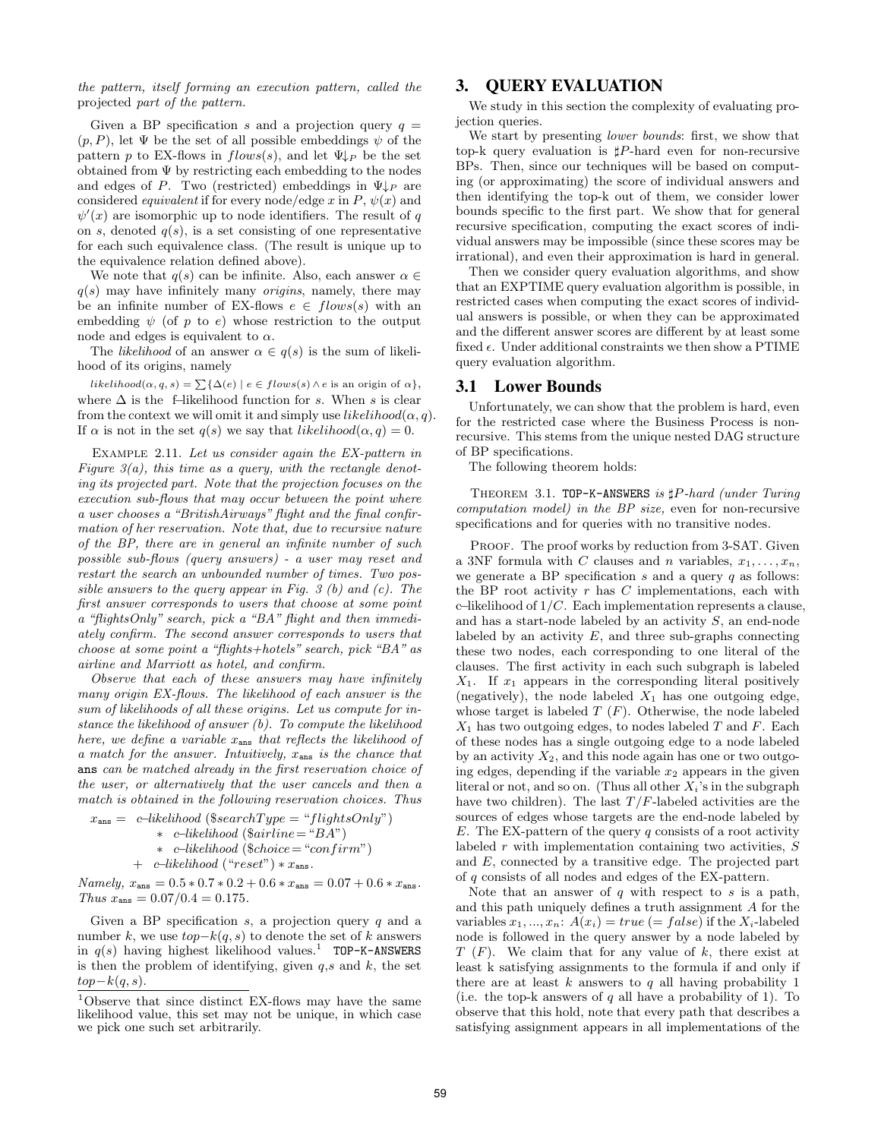*the pattern, itself forming an execution pattern, called the* projected *part of the pattern.*

Given a BP specification *s* and a projection query  $q =$  $(p, P)$ , let  $\Psi$  be the set of all possible embeddings  $\psi$  of the pattern *p* to EX-flows in  $flows(s)$ , and let  $\Psi_{\downarrow}$  be the set obtained from  $\Psi$  by restricting each embedding to the nodes and edges of *P*. Two (restricted) embeddings in  $\Psi_{\downarrow P}$  are considered *equivalent* if for every node/edge  $x$  in  $P$ ,  $\psi(x)$  and  $\psi'(x)$  are isomorphic up to node identifiers. The result of *q* on  $s$ , denoted  $q(s)$ , is a set consisting of one representative for each such equivalence class. (The result is unique up to the equivalence relation defined above).

We note that  $q(s)$  can be infinite. Also, each answer  $\alpha \in$ *q*(*s*) may have infinitely many *origins*, namely, there may be an infinite number of EX-flows  $e \in flows(s)$  with an embedding  $\psi$  (of  $p$  to  $e$ ) whose restriction to the output node and edges is equivalent to  $\alpha$ .

The *likelihood* of an answer  $\alpha \in q(s)$  is the sum of likelihood of its origins, namely

 $likelihood(\alpha, q, s) = \sum \{ \Delta(e) \mid e \in flows(s) \land e \text{ is an origin of } \alpha \},$ where ∆ is the f*−*likelihood function for *s*. When *s* is clear from the context we will omit it and simply use  $likelihood(\alpha, q)$ . If  $\alpha$  is not in the set  $q(s)$  we say that *likelihood* $(\alpha, q) = 0$ .

Example 2.11. *Let us consider again the EX-pattern in Figure 3(a), this time as a query, with the rectangle denoting its projected part. Note that the projection focuses on the execution sub-flows that may occur between the point where a user chooses a "BritishAirways" flight and the final confirmation of her reservation. Note that, due to recursive nature of the BP, there are in general an infinite number of such possible sub-flows (query answers) - a user may reset and restart the search an unbounded number of times. Two possible answers to the query appear in Fig. 3 (b) and (c). The first answer corresponds to users that choose at some point a "flightsOnly" search, pick a "BA" flight and then immediately confirm. The second answer corresponds to users that choose at some point a "flights+hotels" search, pick "BA" as airline and Marriott as hotel, and confirm.*

*Observe that each of these answers may have infinitely many origin EX-flows. The likelihood of each answer is the sum of likelihoods of all these origins. Let us compute for instance the likelihood of answer (b). To compute the likelihood here, we define a variable x*ans *that reflects the likelihood of a match for the answer. Intuitively, x*ans *is the chance that* ans *can be matched already in the first reservation choice of the user, or alternatively that the user cancels and then a match is obtained in the following reservation choices. Thus*

$$
x_{\text{ans}} = c-likelihood \text{($searchType = "flightsOnly")}
$$
\n
$$
* c-likelihood \text{($sairline = "BA"$)}
$$
\n
$$
* c-likelihood \text{($schoice = "confirm"$)}
$$
\n
$$
+ c-likelihood \text{``reset"$}) * x_{\text{ans}}.
$$

 $Namely, x_{\text{ans}} = 0.5 * 0.7 * 0.2 + 0.6 * x_{\text{ans}} = 0.07 + 0.6 * x_{\text{ans}}.$  $Thus x_{\text{ans}} = 0.07/0.4 = 0.175.$ 

Given a BP specification *s*, a projection query *q* and a number  $k$ , we use  $top - k(q, s)$  to denote the set of  $k$  answers in  $q(s)$  having highest likelihood values.<sup>1</sup> TOP-K-ANSWERS is then the problem of identifying, given *q*,*s* and *k*, the set *top−k*(*q, s*).

# 3. QUERY EVALUATION

We study in this section the complexity of evaluating projection queries.

We start by presenting *lower bounds*: first, we show that top-k query evaluation is *♯P*-hard even for non-recursive BPs. Then, since our techniques will be based on computing (or approximating) the score of individual answers and then identifying the top-k out of them, we consider lower bounds specific to the first part. We show that for general recursive specification, computing the exact scores of individual answers may be impossible (since these scores may be irrational), and even their approximation is hard in general.

Then we consider query evaluation algorithms, and show that an EXPTIME query evaluation algorithm is possible, in restricted cases when computing the exact scores of individual answers is possible, or when they can be approximated and the different answer scores are different by at least some fixed  $\epsilon$ . Under additional constraints we then show a PTIME query evaluation algorithm.

## 3.1 Lower Bounds

Unfortunately, we can show that the problem is hard, even for the restricted case where the Business Process is nonrecursive. This stems from the unique nested DAG structure of BP specifications.

The following theorem holds:

Theorem 3.1. TOP-K-ANSWERS *is ♯P-hard (under Turing computation model) in the BP size,* even for non-recursive specifications and for queries with no transitive nodes*.*

PROOF. The proof works by reduction from 3-SAT. Given a 3NF formula with *C* clauses and *n* variables,  $x_1, \ldots, x_n$ , we generate a BP specification *s* and a query *q* as follows: the BP root activity *r* has *C* implementations, each with c*−*likelihood of 1*/C*. Each implementation represents a clause, and has a start-node labeled by an activity *S*, an end-node labeled by an activity *E*, and three sub-graphs connecting these two nodes, each corresponding to one literal of the clauses. The first activity in each such subgraph is labeled *X*1. If *x*<sup>1</sup> appears in the corresponding literal positively (negatively), the node labeled  $X_1$  has one outgoing edge, whose target is labeled *T* (*F*). Otherwise, the node labeled *X*<sup>1</sup> has two outgoing edges, to nodes labeled *T* and *F*. Each of these nodes has a single outgoing edge to a node labeled by an activity  $X_2$ , and this node again has one or two outgoing edges, depending if the variable *x*<sup>2</sup> appears in the given literal or not, and so on. (Thus all other  $X_i$ 's in the subgraph have two children). The last  $T/F$ -labeled activities are the sources of edges whose targets are the end-node labeled by *E*. The EX-pattern of the query *q* consists of a root activity labeled *r* with implementation containing two activities, *S* and *E*, connected by a transitive edge. The projected part of *q* consists of all nodes and edges of the EX-pattern.

Note that an answer of *q* with respect to *s* is a path, and this path uniquely defines a truth assignment *A* for the variables  $x_1, ..., x_n$ :  $A(x_i) = true$  (= *false*) if the  $X_i$ -labeled node is followed in the query answer by a node labeled by *T* (*F*). We claim that for any value of *k*, there exist at least k satisfying assignments to the formula if and only if there are at least *k* answers to *q* all having probability 1 (i.e. the top-k answers of *q* all have a probability of 1). To observe that this hold, note that every path that describes a satisfying assignment appears in all implementations of the

<sup>1</sup>Observe that since distinct EX-flows may have the same likelihood value, this set may not be unique, in which case we pick one such set arbitrarily.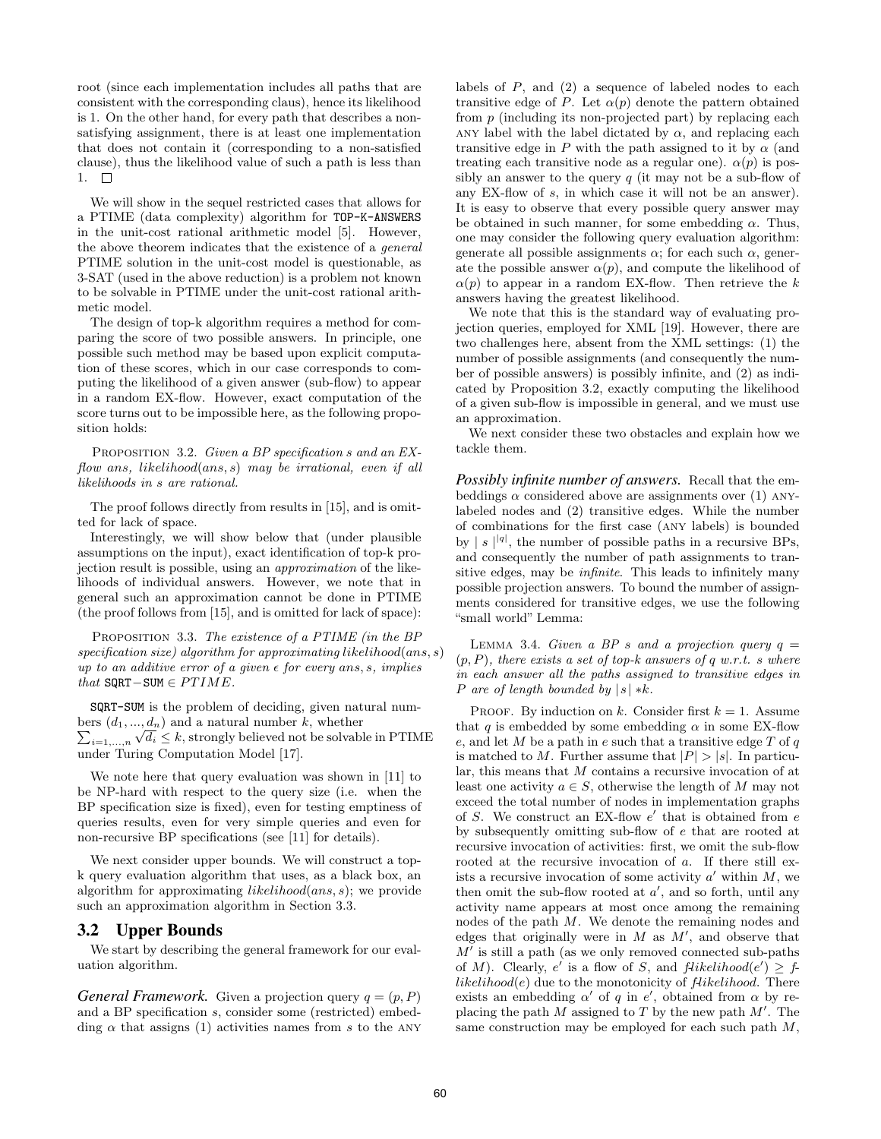root (since each implementation includes all paths that are consistent with the corresponding claus), hence its likelihood is 1. On the other hand, for every path that describes a nonsatisfying assignment, there is at least one implementation that does not contain it (corresponding to a non-satisfied clause), thus the likelihood value of such a path is less than  $1. \square$ 

We will show in the sequel restricted cases that allows for a PTIME (data complexity) algorithm for TOP-K-ANSWERS in the unit-cost rational arithmetic model [5]. However, the above theorem indicates that the existence of a *general* PTIME solution in the unit-cost model is questionable, as 3-SAT (used in the above reduction) is a problem not known to be solvable in PTIME under the unit-cost rational arithmetic model.

The design of top-k algorithm requires a method for comparing the score of two possible answers. In principle, one possible such method may be based upon explicit computation of these scores, which in our case corresponds to computing the likelihood of a given answer (sub-flow) to appear in a random EX-flow. However, exact computation of the score turns out to be impossible here, as the following proposition holds:

Proposition 3.2. *Given a BP specification s and an EXflow ans, likelihood*(*ans, s*) *may be irrational, even if all likelihoods in s are rational.*

The proof follows directly from results in [15], and is omitted for lack of space.

Interestingly, we will show below that (under plausible assumptions on the input), exact identification of top-k projection result is possible, using an *approximation* of the likelihoods of individual answers. However, we note that in general such an approximation cannot be done in PTIME (the proof follows from [15], and is omitted for lack of space):

Proposition 3.3. *The existence of a PTIME (in the BP specification size) algorithm for approximating likelihood*(*ans, s*) *up to an additive error of a given*  $\epsilon$  *for every ans, s, implies*  $that$  SQRT $−$ SUM  $∈$   $PTIME$ *.* 

SQRT-SUM is the problem of deciding, given natural numbers  $(d_1, ..., d_n)$  and a natural number *k*, whether  $\sum_{i=1,\dots,n} \sqrt{d_i} \leq k$ , strongly believed not be solvable in PTIME under Turing Computation Model [17].

We note here that query evaluation was shown in [11] to be NP-hard with respect to the query size (i.e. when the BP specification size is fixed), even for testing emptiness of queries results, even for very simple queries and even for non-recursive BP specifications (see [11] for details).

We next consider upper bounds. We will construct a topk query evaluation algorithm that uses, as a black box, an algorithm for approximating *likelihood*(*ans, s*); we provide such an approximation algorithm in Section 3.3.

### 3.2 Upper Bounds

We start by describing the general framework for our evaluation algorithm.

*General Framework.* Given a projection query  $q = (p, P)$ and a BP specification *s*, consider some (restricted) embedding  $\alpha$  that assigns (1) activities names from *s* to the ANY labels of *P*, and (2) a sequence of labeled nodes to each transitive edge of *P*. Let  $\alpha(p)$  denote the pattern obtained from *p* (including its non-projected part) by replacing each any label with the label dictated by  $\alpha$ , and replacing each transitive edge in *P* with the path assigned to it by  $\alpha$  (and treating each transitive node as a regular one).  $\alpha(p)$  is possibly an answer to the query *q* (it may not be a sub-flow of any EX-flow of *s*, in which case it will not be an answer). It is easy to observe that every possible query answer may be obtained in such manner, for some embedding  $\alpha$ . Thus, one may consider the following query evaluation algorithm: generate all possible assignments  $\alpha$ ; for each such  $\alpha$ , generate the possible answer  $\alpha(p)$ , and compute the likelihood of  $\alpha(p)$  to appear in a random EX-flow. Then retrieve the *k* answers having the greatest likelihood.

We note that this is the standard way of evaluating projection queries, employed for XML [19]. However, there are two challenges here, absent from the XML settings: (1) the number of possible assignments (and consequently the number of possible answers) is possibly infinite, and (2) as indicated by Proposition 3.2, exactly computing the likelihood of a given sub-flow is impossible in general, and we must use an approximation.

We next consider these two obstacles and explain how we tackle them.

*Possibly infinite number of answers.* Recall that the embeddings  $\alpha$  considered above are assignments over (1) ANYlabeled nodes and (2) transitive edges. While the number of combinations for the first case (any labels) is bounded by  $|s|^{q}$ , the number of possible paths in a recursive BPs, and consequently the number of path assignments to transitive edges, may be *infinite*. This leads to infinitely many possible projection answers. To bound the number of assignments considered for transitive edges, we use the following "small world" Lemma:

LEMMA 3.4. *Given a BP s and a projection query*  $q =$ (*p, P*)*, there exists a set of top-k answers of q w.r.t. s where in each answer all the paths assigned to transitive edges in P are of length bounded by |s| ∗k.*

PROOF. By induction on  $k$ . Consider first  $k = 1$ . Assume that *q* is embedded by some embedding  $\alpha$  in some EX-flow *e*, and let *M* be a path in *e* such that a transitive edge *T* of *q* is matched to *M*. Further assume that  $|P| > |s|$ . In particular, this means that *M* contains a recursive invocation of at least one activity  $a \in S$ , otherwise the length of *M* may not exceed the total number of nodes in implementation graphs of *S*. We construct an EX-flow *e ′* that is obtained from *e* by subsequently omitting sub-flow of *e* that are rooted at recursive invocation of activities: first, we omit the sub-flow rooted at the recursive invocation of *a*. If there still exists a recursive invocation of some activity *a ′* within *M*, we then omit the sub-flow rooted at *a ′* , and so forth, until any activity name appears at most once among the remaining nodes of the path *M*. We denote the remaining nodes and edges that originally were in *M* as *M′* , and observe that *M′* is still a path (as we only removed connected sub-paths of *M*). Clearly, *e'* is a flow of *S*, and  $f\text{-}likelihood(e') \geq f$  $likelihood(e)$  due to the monotonicity of  $f\ddot{i}$ *kelihood*. There exists an embedding  $\alpha'$  of *q* in *e'*, obtained from  $\alpha$  by replacing the path *M* assigned to *T* by the new path *M′* . The same construction may be employed for each such path *M*,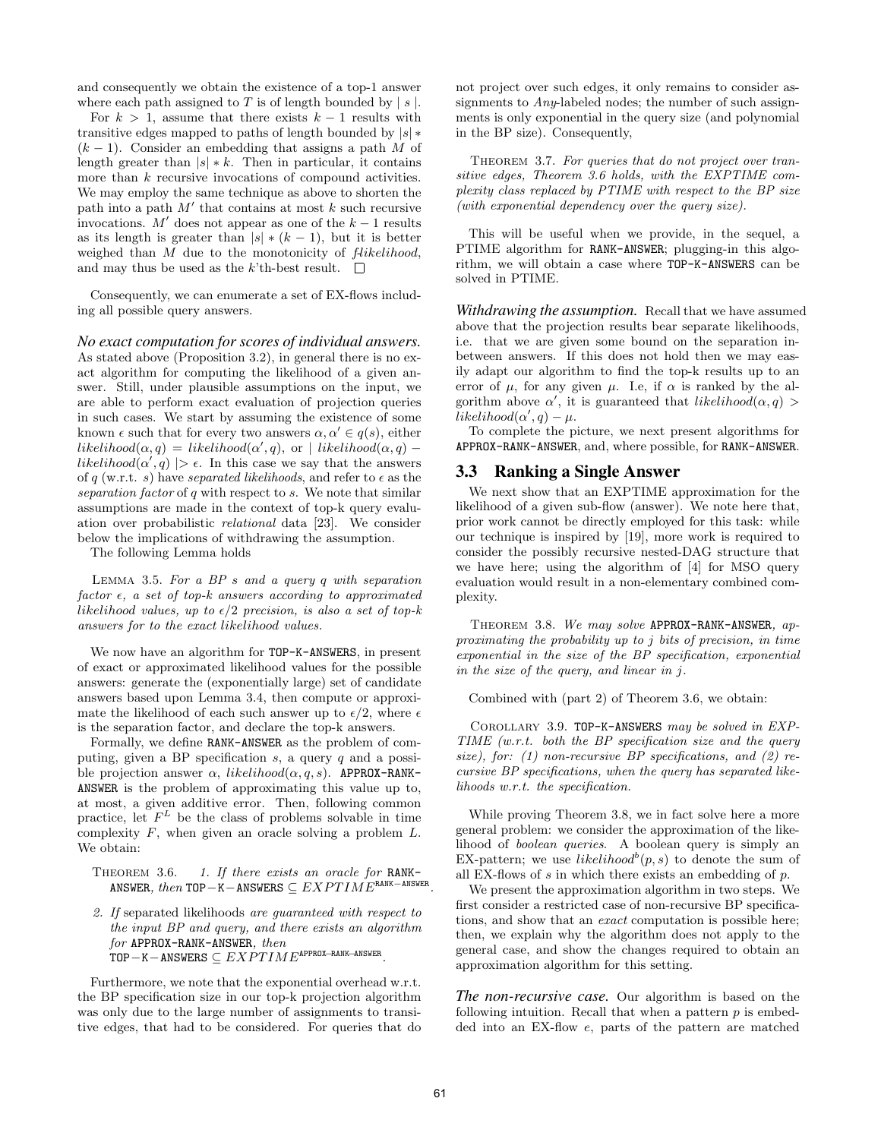and consequently we obtain the existence of a top-1 answer where each path assigned to *T* is of length bounded by  $|s|$ .

For  $k > 1$ , assume that there exists  $k - 1$  results with transitive edges mapped to paths of length bounded by *|s| ∗*  $(k-1)$ . Consider an embedding that assigns a path *M* of length greater than  $|s| * k$ . Then in particular, it contains more than *k* recursive invocations of compound activities. We may employ the same technique as above to shorten the path into a path *M′* that contains at most *k* such recursive invocations. *M'* does not appear as one of the  $k-1$  results as its length is greater than  $|s| * (k-1)$ , but it is better weighed than *M* due to the monotonicity of *f-likelihood*, and may thus be used as the  $k$ 'th-best result.  $\square$ 

Consequently, we can enumerate a set of EX-flows including all possible query answers.

*No exact computation for scores of individual answers.* As stated above (Proposition 3.2), in general there is no exact algorithm for computing the likelihood of a given answer. Still, under plausible assumptions on the input, we are able to perform exact evaluation of projection queries in such cases. We start by assuming the existence of some known  $\epsilon$  such that for every two answers  $\alpha, \alpha' \in q(s)$ , either  $likelihood(\alpha, q) = likelihood(\alpha', q)$ , or *| likelihood* $(\alpha, q)$  *−*  $likelihood(\alpha', q)$  |>  $\epsilon$ . In this case we say that the answers of *q* (w.r.t. *s*) have *separated likelihoods*, and refer to  $\epsilon$  as the *separation factor* of *q* with respect to *s*. We note that similar assumptions are made in the context of top-k query evaluation over probabilistic *relational* data [23]. We consider below the implications of withdrawing the assumption.

The following Lemma holds

Lemma 3.5. *For a BP s and a query q with separation factor*  $\epsilon$ *, a set of top-k answers according to approximated likelihood values, up to*  $\epsilon/2$  *precision, is also a set of top-k answers for to the exact likelihood values.*

We now have an algorithm for  $TOP-K-ANSWERS$ , in present of exact or approximated likelihood values for the possible answers: generate the (exponentially large) set of candidate answers based upon Lemma 3.4, then compute or approximate the likelihood of each such answer up to  $\epsilon/2$ , where  $\epsilon$ is the separation factor, and declare the top-k answers.

Formally, we define RANK-ANSWER as the problem of computing, given a BP specification *s*, a query *q* and a possible projection answer *α*, *likelihood*(*α, q, s*). APPROX-RANK-ANSWER is the problem of approximating this value up to, at most, a given additive error. Then, following common practice, let  $F^L$  be the class of problems solvable in time complexity *F*, when given an oracle solving a problem *L*. We obtain:

- Theorem 3.6. *1. If there exists an oracle for* RANK- $\texttt{ANSWER}, \text{ then } \texttt{TOP}-\texttt{K}-\texttt{ANSWERS} \subseteq \textit{EXPTIME}^{\texttt{RANK}-\texttt{ANSWER}}.$
- *2. If* separated likelihoods *are guaranteed with respect to the input BP and query, and there exists an algorithm for* APPROX-RANK-ANSWER*, then* TOP*−*K*−*ANSWERS *⊆ EXP T IME*APPROX*−*RANK*−*ANSWER *.*

Furthermore, we note that the exponential overhead w.r.t. the BP specification size in our top-k projection algorithm was only due to the large number of assignments to transitive edges, that had to be considered. For queries that do not project over such edges, it only remains to consider assignments to *Any*-labeled nodes; the number of such assignments is only exponential in the query size (and polynomial in the BP size). Consequently,

THEOREM 3.7. For queries that do not project over tran*sitive edges, Theorem 3.6 holds, with the EXPTIME complexity class replaced by PTIME with respect to the BP size (with exponential dependency over the query size).*

This will be useful when we provide, in the sequel, a PTIME algorithm for RANK-ANSWER; plugging-in this algorithm, we will obtain a case where TOP-K-ANSWERS can be solved in PTIME.

*Withdrawing the assumption.* Recall that we have assumed above that the projection results bear separate likelihoods, i.e. that we are given some bound on the separation inbetween answers. If this does not hold then we may easily adapt our algorithm to find the top-k results up to an error of  $\mu$ , for any given  $\mu$ . I.e, if  $\alpha$  is ranked by the algorithm above  $\alpha'$ , it is guaranteed that  $likelihood(\alpha, q)$  $likelihood(\alpha', q) - \mu$ .

To complete the picture, we next present algorithms for APPROX-RANK-ANSWER, and, where possible, for RANK-ANSWER.

#### 3.3 Ranking a Single Answer

We next show that an EXPTIME approximation for the likelihood of a given sub-flow (answer). We note here that, prior work cannot be directly employed for this task: while our technique is inspired by [19], more work is required to consider the possibly recursive nested-DAG structure that we have here; using the algorithm of [4] for MSO query evaluation would result in a non-elementary combined complexity.

Theorem 3.8. *We may solve* APPROX-RANK-ANSWER*, approximating the probability up to j bits of precision, in time exponential in the size of the BP specification, exponential in the size of the query, and linear in j.*

Combined with (part 2) of Theorem 3.6, we obtain:

Corollary 3.9. TOP-K-ANSWERS *may be solved in EXP-TIME (w.r.t. both the BP specification size and the query size), for: (1) non-recursive BP specifications, and (2) recursive BP specifications, when the query has separated likelihoods w.r.t. the specification.*

While proving Theorem 3.8, we in fact solve here a more general problem: we consider the approximation of the likelihood of *boolean queries*. A boolean query is simply an EX-pattern; we use  $likelihood^{b}(p, s)$  to denote the sum of all EX-flows of *s* in which there exists an embedding of *p*.

We present the approximation algorithm in two steps. We first consider a restricted case of non-recursive BP specifications, and show that an *exact* computation is possible here; then, we explain why the algorithm does not apply to the general case, and show the changes required to obtain an approximation algorithm for this setting.

*The non-recursive case.* Our algorithm is based on the following intuition. Recall that when a pattern *p* is embedded into an EX-flow *e*, parts of the pattern are matched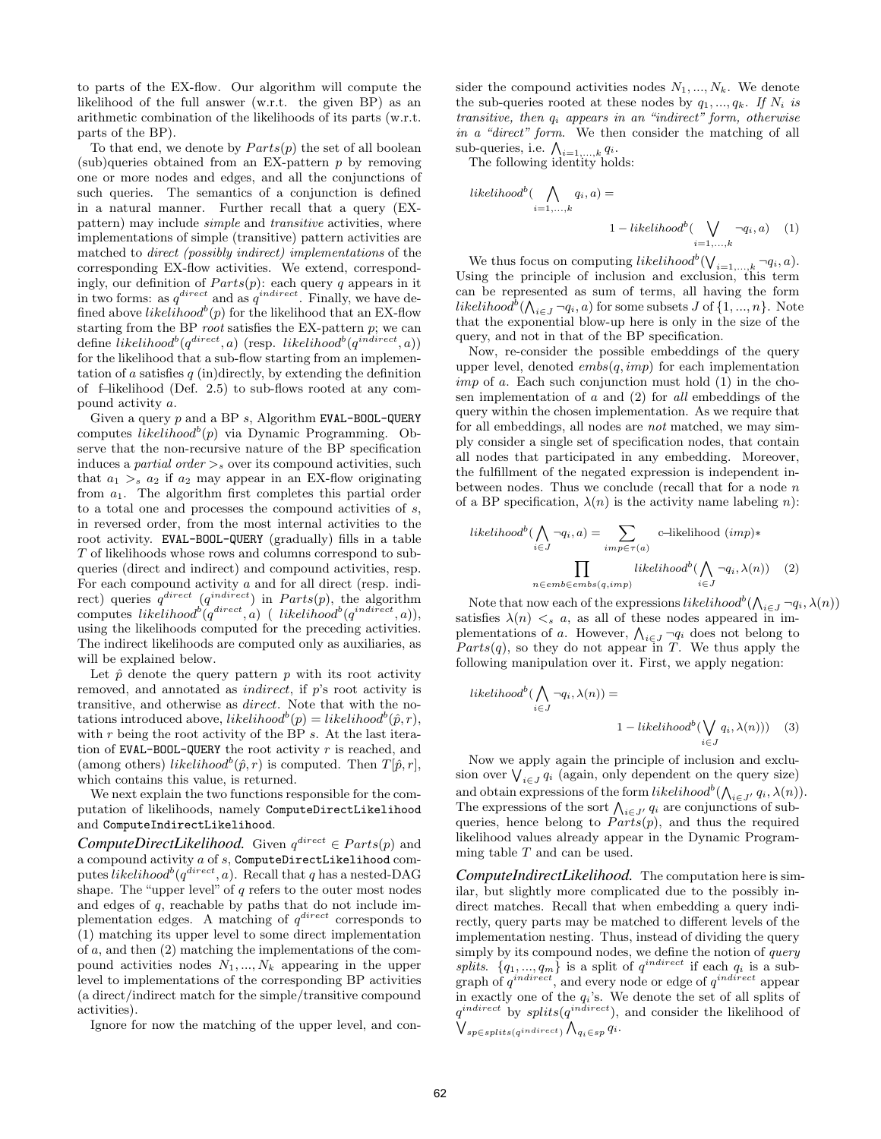to parts of the EX-flow. Our algorithm will compute the likelihood of the full answer (w.r.t. the given BP) as an arithmetic combination of the likelihoods of its parts (w.r.t. parts of the BP).

To that end, we denote by  $Parts(p)$  the set of all boolean (sub)queries obtained from an EX-pattern *p* by removing one or more nodes and edges, and all the conjunctions of such queries. The semantics of a conjunction is defined in a natural manner. Further recall that a query (EXpattern) may include *simple* and *transitive* activities, where implementations of simple (transitive) pattern activities are matched to *direct (possibly indirect) implementations* of the corresponding EX-flow activities. We extend, correspondingly, our definition of  $Parts(p)$ : each query *q* appears in it in two forms: as  $q^{direct}$  and as  $q^{indirect}$ . Finally, we have defined above  $likelihood^b(p)$  for the likelihood that an EX-flow starting from the BP *root* satisfies the EX-pattern *p*; we can define *likelihood<sup>b</sup>* (*q direct, a*) (resp. *likelihood<sup>b</sup>* (*q indirect, a*)) for the likelihood that a sub-flow starting from an implementation of  $a$  satisfies  $q$  (in)directly, by extending the definition of f*−*likelihood (Def. 2.5) to sub-flows rooted at any compound activity *a*.

Given a query *p* and a BP *s*, Algorithm EVAL-BOOL-QUERY computes *likelihood<sup>b</sup>* (*p*) via Dynamic Programming. Observe that the non-recursive nature of the BP specification induces a *partial order*  $>$ <sub>s</sub> over its compound activities, such that  $a_1 >_s a_2$  if  $a_2$  may appear in an EX-flow originating from *a*1. The algorithm first completes this partial order to a total one and processes the compound activities of *s*, in reversed order, from the most internal activities to the root activity. EVAL-BOOL-QUERY (gradually) fills in a table *T* of likelihoods whose rows and columns correspond to subqueries (direct and indirect) and compound activities, resp. For each compound activity *a* and for all direct (resp. indirect) queries  $q^{direct}$  ( $q^{indirect}$ ) in  $Parts(p)$ , the algorithm  $\text{computes } likelihood^b(q^{direct}, a) \ (likelihood^b(q^{indirect}, a)),$ using the likelihoods computed for the preceding activities. The indirect likelihoods are computed only as auxiliaries, as will be explained below.

Let  $\hat{p}$  denote the query pattern  $p$  with its root activity removed, and annotated as *indirect*, if *p*'s root activity is transitive, and otherwise as *direct*. Note that with the notations introduced above,  $likelihood^{b}(p) = likelihood^{b}(\hat{p}, r)$ , with *r* being the root activity of the BP *s*. At the last iteration of EVAL-BOOL-QUERY the root activity *r* is reached, and (among others) *likelihood*<sup>b</sup> $(\hat{p}, r)$  is computed. Then  $T[\hat{p}, r]$ , which contains this value, is returned.

We next explain the two functions responsible for the computation of likelihoods, namely ComputeDirectLikelihood and ComputeIndirectLikelihood.

*ComputeDirectLikelihood.* Given  $q^{direct} \in Parts(p)$  and a compound activity *a* of *s*, ComputeDirectLikelihood computes *likelihood*<sup>b</sup>( $q^{direct}, a$ ). Recall that  $q$  has a nested-DAG shape. The "upper level" of *q* refers to the outer most nodes and edges of *q*, reachable by paths that do not include implementation edges. A matching of *q direct* corresponds to (1) matching its upper level to some direct implementation of *a*, and then (2) matching the implementations of the compound activities nodes *N*1*, ..., N<sup>k</sup>* appearing in the upper level to implementations of the corresponding BP activities (a direct/indirect match for the simple/transitive compound activities).

Ignore for now the matching of the upper level, and con-

sider the compound activities nodes  $N_1, ..., N_k$ . We denote the sub-queries rooted at these nodes by  $q_1, ..., q_k$ . If  $N_i$  is *transitive, then q<sup>i</sup> appears in an "indirect" form, otherwise in a "direct" form*. We then consider the matching of all sub-queries, i.e.  $\bigwedge_{i=1,\ldots,k} q_i$ .

The following identity holds:

$$
likelihood^{b}(\bigwedge_{i=1,...,k}q_{i},a) =
$$
  

$$
1-likelihood^{b}(\bigvee_{i=1,...,k}\neg q_{i},a) \quad (1)
$$

We thus focus on computing  $likelihood^b(\bigvee_{i=1,\ldots,k} \neg q_i, a)$ . Using the principle of inclusion and exclusion, this term can be represented as sum of terms, all having the form *likelihood*<sup>*b*</sup>( $\bigwedge_{i \in J} \neg q_i$ , *a*) for some subsets *J* of  $\{1, ..., n\}$ . Note that the exponential blow-up here is only in the size of the query, and not in that of the BP specification.

Now, re-consider the possible embeddings of the query upper level, denoted *embs*(*q, imp*) for each implementation *imp* of *a*. Each such conjunction must hold (1) in the chosen implementation of *a* and (2) for *all* embeddings of the query within the chosen implementation. As we require that for all embeddings, all nodes are *not* matched, we may simply consider a single set of specification nodes, that contain all nodes that participated in any embedding. Moreover, the fulfillment of the negated expression is independent inbetween nodes. Thus we conclude (recall that for a node *n* of a BP specification,  $\lambda(n)$  is the activity name labeling *n*):

$$
likelihood^{b}(\bigwedge_{i \in J} \neg q_{i}, a) = \sum_{imp \in \tau(a)} c\text{-likelihood } (imp)*
$$

$$
\prod_{n \in emb \in emb(q, imp)} likelihood^{b}(\bigwedge_{i \in J} \neg q_{i}, \lambda(n)) \quad (2)
$$

Note that now each of the expressions *likelihood*<sup>b</sup>( $\bigwedge_{i \in J} \neg q_i, \lambda(n)$ ) satisfies  $\lambda(n) \leq_s a$ , as all of these nodes appeared in implementations of *a*. However,  $\bigwedge_{i \in J} \neg q_i$  does not belong to  $Parts(q)$ , so they do not appear in *T*. We thus apply the following manipulation over it. First, we apply negation:

$$
likelihood^{b}(\bigwedge_{i \in J} \neg q_{i}, \lambda(n)) =
$$
  

$$
1 - likelihood^{b}(\bigvee_{i \in J} q_{i}, \lambda(n))) \quad (3)
$$
  

$$
1 - likelihood^{b}(\bigvee_{i \in J} q_{i}, \lambda(n)))
$$

Now we apply again the principle of inclusion and exclusion over  $\bigvee_{i \in J} q_i$  (again, only dependent on the query size) and obtain expressions of the form  $likelihood^{b}(\bigwedge_{i \in J'} q_i, \lambda(n))$ . The expressions of the sort  $\bigwedge_{i \in J'} q_i$  are conjunctions of subqueries, hence belong to  $Parts(p)$ , and thus the required likelihood values already appear in the Dynamic Programming table *T* and can be used.

*ComputeIndirectLikelihood.* The computation here is similar, but slightly more complicated due to the possibly indirect matches. Recall that when embedding a query indirectly, query parts may be matched to different levels of the implementation nesting. Thus, instead of dividing the query simply by its compound nodes, we define the notion of *query splits.*  $\{q_1, ..., q_m\}$  is a split of  $q^{indirect}$  if each  $q_i$  is a subgraph of *q indirect*, and every node or edge of *q indirect* appear in exactly one of the *qi*'s. We denote the set of all splits of *q indirect* by *splits*(*q indirect* ), and consider the likelihood of ∨ *sp∈splits*(*q indirect*) ∧ *qi∈sp qi*.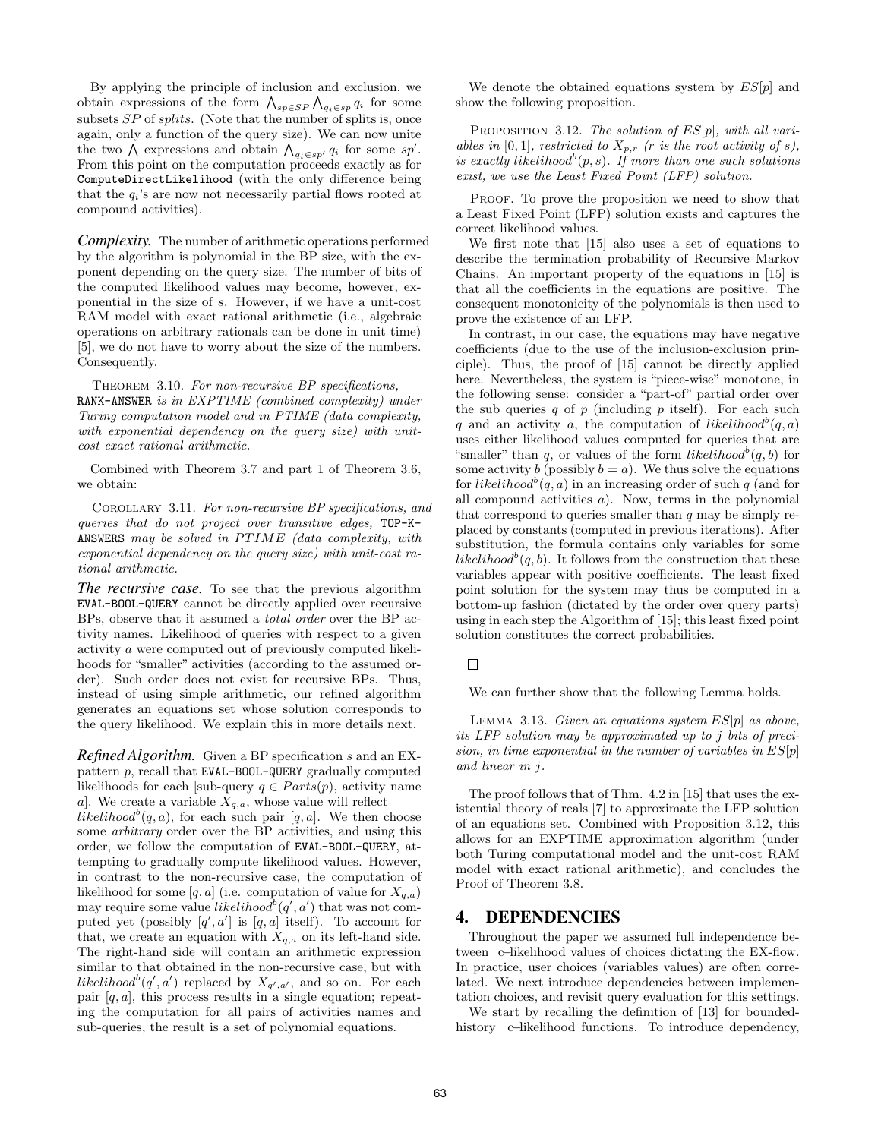By applying the principle of inclusion and exclusion, we obtain expressions of the form  $\bigwedge_{sp \in SP} \bigwedge_{q_i \in sp} q_i$  for some subsets *SP* of *splits*. (Note that the number of splits is, once again, only a function of the query size). We can now unite the two ∧ expressions and obtain  $\bigwedge_{q_i \in sp'} q_i$  for some *sp'*. From this point on the computation proceeds exactly as for ComputeDirectLikelihood (with the only difference being that the  $q_i$ 's are now not necessarily partial flows rooted at compound activities).

*Complexity.* The number of arithmetic operations performed by the algorithm is polynomial in the BP size, with the exponent depending on the query size. The number of bits of the computed likelihood values may become, however, exponential in the size of *s*. However, if we have a unit-cost RAM model with exact rational arithmetic (i.e., algebraic operations on arbitrary rationals can be done in unit time) [5], we do not have to worry about the size of the numbers. Consequently,

Theorem 3.10. *For non-recursive BP specifications,* RANK-ANSWER *is in EXPTIME (combined complexity) under Turing computation model and in PTIME (data complexity, with exponential dependency on the query size) with unitcost exact rational arithmetic.*

Combined with Theorem 3.7 and part 1 of Theorem 3.6, we obtain:

Corollary 3.11. *For non-recursive BP specifications, and queries that do not project over transitive edges,* TOP-K-ANSWERS *may be solved in P T IME (data complexity, with exponential dependency on the query size) with unit-cost rational arithmetic.*

*The recursive case.* To see that the previous algorithm EVAL-BOOL-QUERY cannot be directly applied over recursive BPs, observe that it assumed a *total order* over the BP activity names. Likelihood of queries with respect to a given activity *a* were computed out of previously computed likelihoods for "smaller" activities (according to the assumed order). Such order does not exist for recursive BPs. Thus, instead of using simple arithmetic, our refined algorithm generates an equations set whose solution corresponds to the query likelihood. We explain this in more details next.

*Refined Algorithm.* Given a BP specification *s* and an EXpattern *p*, recall that EVAL-BOOL-QUERY gradually computed likelihoods for each [sub-query  $q \in Parts(p)$ , activity name *a*]. We create a variable *Xq,a*, whose value will reflect *likelihood*<sup>*b*</sup> $(q, a)$ , for each such pair  $[q, a]$ . We then choose some *arbitrary* order over the BP activities, and using this order, we follow the computation of EVAL-BOOL-QUERY, attempting to gradually compute likelihood values. However, in contrast to the non-recursive case, the computation of likelihood for some  $[q, a]$  (i.e. computation of value for  $X_{q,a}$ ) may require some value  $likelihood^{b}(q', a')$  that was not computed yet (possibly  $[q', a']$  is  $[q, a]$  itself). To account for that, we create an equation with  $X_{q,a}$  on its left-hand side. The right-hand side will contain an arithmetic expression similar to that obtained in the non-recursive case, but with *likelihood*<sup>*b*</sup>( $q'$ ,  $a'$ ) replaced by  $X_{q',a'}$ , and so on. For each pair [*q, a*], this process results in a single equation; repeating the computation for all pairs of activities names and sub-queries, the result is a set of polynomial equations.

We denote the obtained equations system by *ES*[*p*] and show the following proposition.

Proposition 3.12. *The solution of ES*[*p*]*, with all variables in* [0,1], restricted to  $X_{p,r}$  (*r is the root activity of <i>s*), *is exactly likelihood<sup>b</sup>* (*p, s*)*. If more than one such solutions exist, we use the Least Fixed Point (LFP) solution.*

PROOF. To prove the proposition we need to show that a Least Fixed Point (LFP) solution exists and captures the correct likelihood values.

We first note that [15] also uses a set of equations to describe the termination probability of Recursive Markov Chains. An important property of the equations in [15] is that all the coefficients in the equations are positive. The consequent monotonicity of the polynomials is then used to prove the existence of an LFP.

In contrast, in our case, the equations may have negative coefficients (due to the use of the inclusion-exclusion principle). Thus, the proof of [15] cannot be directly applied here. Nevertheless, the system is "piece-wise" monotone, in the following sense: consider a "part-of" partial order over the sub queries *q* of *p* (including *p* itself). For each such *q* and an activity *a*, the computation of *likelihood*<sup>*b*</sup>(*q, a*) uses either likelihood values computed for queries that are "smaller" than *q*, or values of the form *likelihood*<sup>*b*</sup>(*q, b*) for some activity  $b$  (possibly  $b = a$ ). We thus solve the equations for  $likelihood^{b}(q, a)$  in an increasing order of such  $q$  (and for all compound activities *a*). Now, terms in the polynomial that correspond to queries smaller than *q* may be simply replaced by constants (computed in previous iterations). After substitution, the formula contains only variables for some *likelihood*<sup>*b*</sup> $(q, b)$ . It follows from the construction that these variables appear with positive coefficients. The least fixed point solution for the system may thus be computed in a bottom-up fashion (dictated by the order over query parts) using in each step the Algorithm of [15]; this least fixed point solution constitutes the correct probabilities.

#### $\Box$

We can further show that the following Lemma holds.

Lemma 3.13. *Given an equations system ES*[*p*] *as above, its LFP solution may be approximated up to j bits of precision, in time exponential in the number of variables in ES*[*p*] *and linear in j.*

The proof follows that of Thm. 4.2 in [15] that uses the existential theory of reals [7] to approximate the LFP solution of an equations set. Combined with Proposition 3.12, this allows for an EXPTIME approximation algorithm (under both Turing computational model and the unit-cost RAM model with exact rational arithmetic), and concludes the Proof of Theorem 3.8.

# 4. DEPENDENCIES

Throughout the paper we assumed full independence between c*−*likelihood values of choices dictating the EX-flow. In practice, user choices (variables values) are often correlated. We next introduce dependencies between implementation choices, and revisit query evaluation for this settings.

We start by recalling the definition of [13] for boundedhistory c*−*likelihood functions. To introduce dependency,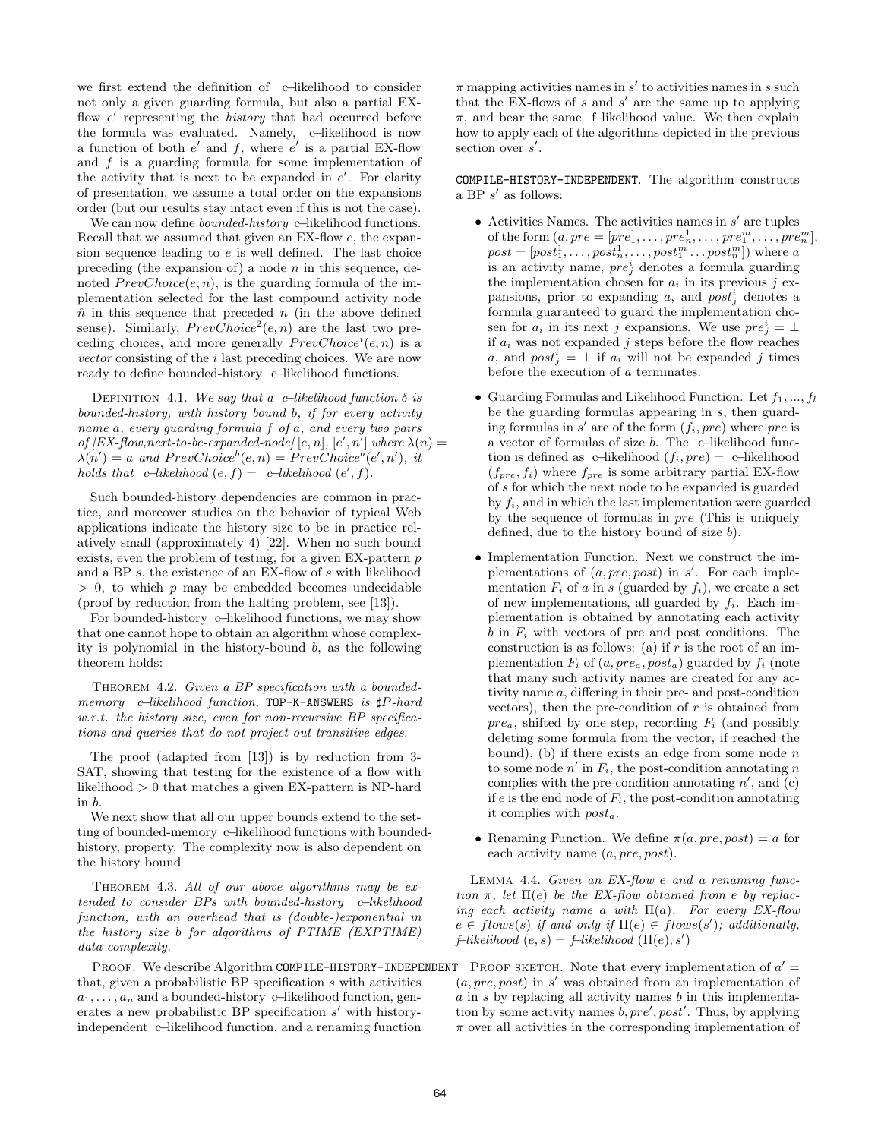we first extend the definition of c*−*likelihood to consider not only a given guarding formula, but also a partial EXflow *e'* representing the *history* that had occurred before the formula was evaluated. Namely, c*−*likelihood is now a function of both *e ′* and *f*, where *e ′* is a partial EX-flow and *f* is a guarding formula for some implementation of the activity that is next to be expanded in *e ′* . For clarity of presentation, we assume a total order on the expansions order (but our results stay intact even if this is not the case).

We can now define *bounded-history* c*−*likelihood functions. Recall that we assumed that given an EX-flow *e*, the expansion sequence leading to *e* is well defined. The last choice preceding (the expansion of) a node *n* in this sequence, denoted  $PrevChoice(e, n)$ , is the guarding formula of the implementation selected for the last compound activity node  $\hat{n}$  in this sequence that preceded  $n$  (in the above defined sense). Similarly,  $PrevChoice<sup>2</sup>(e, n)$  are the last two preceding choices, and more generally  $PrevChoice<sup>i</sup>(e, n)$  is a *vector* consisting of the *i* last preceding choices. We are now ready to define bounded-history c*−*likelihood functions.

DEFINITION 4.1. *We say that a c−likelihood function*  $\delta$  *is bounded-history, with history bound b, if for every activity name a, every guarding formula f of a, and every two pairs*  $of$  *[EX-flow,next-to-be-expanded-node]*  $[e, n]$ *,*  $[e', n']$  *where*  $\lambda(n) =$  $\lambda(n') = a$  *and*  $PrevChoice^b(e, n) = PrevChoice^b(e', n'),$  *it holds that c*−*likelihood*  $(e, f) = c$ −*likelihood*  $(e', f)$ *.* 

Such bounded-history dependencies are common in practice, and moreover studies on the behavior of typical Web applications indicate the history size to be in practice relatively small (approximately 4) [22]. When no such bound exists, even the problem of testing, for a given EX-pattern *p* and a BP *s*, the existence of an EX-flow of *s* with likelihood *>* 0, to which *p* may be embedded becomes undecidable (proof by reduction from the halting problem, see [13]).

For bounded-history c*−*likelihood functions, we may show that one cannot hope to obtain an algorithm whose complexity is polynomial in the history-bound *b*, as the following theorem holds:

THEOREM 4.2. *Given a BP specification with a boundedmemory c−likelihood function,* TOP-K-ANSWERS *is ♯P-hard w.r.t. the history size, even for non-recursive BP specifications and queries that do not project out transitive edges.*

The proof (adapted from [13]) is by reduction from 3- SAT, showing that testing for the existence of a flow with likelihood *>* 0 that matches a given EX-pattern is NP-hard in *b*.

We next show that all our upper bounds extend to the setting of bounded-memory c*−*likelihood functions with boundedhistory, property. The complexity now is also dependent on the history bound

THEOREM 4.3. All of our above algorithms may be ex*tended to consider BPs with bounded-history c−likelihood function, with an overhead that is (double-)exponential in the history size b for algorithms of PTIME (EXPTIME) data complexity.*

PROOF. We describe Algorithm COMPILE-HISTORY-INDEPENDENT PROOF SKETCH. Note that every implementation of  $a' =$ that, given a probabilistic BP specification *s* with activities *a*1*, . . . , a<sup>n</sup>* and a bounded-history c*−*likelihood function, generates a new probabilistic BP specification *s ′* with historyindependent c*−*likelihood function, and a renaming function

*π* mapping activities names in *s ′* to activities names in *s* such that the EX-flows of *s* and *s ′* are the same up to applying *π*, and bear the same f*−*likelihood value. We then explain how to apply each of the algorithms depicted in the previous section over *s ′* .

COMPILE-HISTORY-INDEPENDENT*.* The algorithm constructs a BP *s ′* as follows:

- *•* Activities Names. The activities names in *s ′* are tuples of the form  $(a, pre = [pre_1^1, \ldots, pre_n^1, \ldots, pre_1^m, \ldots, pre_n^m],$  $post = [post_1^1, \ldots, post_n^1, \ldots, post_1^m \ldots post_n^m]$  where *a* is an activity name,  $pre_j^i$  denotes a formula guarding the implementation chosen for  $a_i$  in its previous  $j$  expansions, prior to expanding  $a$ , and  $post_j^i$  denotes a formula guaranteed to guard the implementation chosen for  $a_i$  in its next *j* expansions. We use  $pre_j^i = \perp$ if *a<sup>i</sup>* was not expanded *j* steps before the flow reaches *a*, and  $post_j^i = \perp$  if  $a_i$  will not be expanded *j* times before the execution of *a* terminates.
- Guarding Formulas and Likelihood Function. Let  $f_1, ..., f_l$ be the guarding formulas appearing in *s*, then guarding formulas in *s ′* are of the form (*fi, pre*) where *pre* is a vector of formulas of size *b*. The c*−*likelihood function is defined as c*−*likelihood (*fi, pre*) = c*−*likelihood  $(f_{pre}, f_i)$  where  $f_{pre}$  is some arbitrary partial EX-flow of *s* for which the next node to be expanded is guarded by *fi*, and in which the last implementation were guarded by the sequence of formulas in *pre* (This is uniquely defined, due to the history bound of size *b*).
- *•* Implementation Function. Next we construct the implementations of (*a, pre, post*) in *s ′* . For each implementation  $F_i$  of *a* in *s* (guarded by  $f_i$ ), we create a set of new implementations, all guarded by *fi*. Each implementation is obtained by annotating each activity  $b$  in  $F_i$  with vectors of pre and post conditions. The construction is as follows: (a) if *r* is the root of an implementation  $F_i$  of  $(a, pre_a, post_a)$  guarded by  $f_i$  (note that many such activity names are created for any activity name *a*, differing in their pre- and post-condition vectors), then the pre-condition of *r* is obtained from  $pre_a$ , shifted by one step, recording  $F_i$  (and possibly deleting some formula from the vector, if reached the bound), (b) if there exists an edge from some node *n* to some node  $n'$  in  $F_i$ , the post-condition annotating  $n$ complies with the pre-condition annotating *n ′* , and (c) if  $e$  is the end node of  $F_i$ , the post-condition annotating it complies with *posta*.
- Renaming Function. We define  $\pi(a, pre, post) = a$  for each activity name (*a, pre, post*).

Lemma 4.4. *Given an EX-flow e and a renaming function*  $\pi$ *, let*  $\Pi(e)$  *be the EX-flow obtained from e by replacing each activity name a with* Π(*a*)*. For every EX-flow*  $e \in flows(s)$  *if and only if*  $\Pi(e) \in flows(s')$ *; additionally, f−likelihood* (*e, s*) = *f−likelihood* (Π(*e*)*, s′* )

(*a, pre, post*) in *s ′* was obtained from an implementation of *a* in *s* by replacing all activity names *b* in this implementation by some activity names *b, pre′ , post′* . Thus, by applying *π* over all activities in the corresponding implementation of